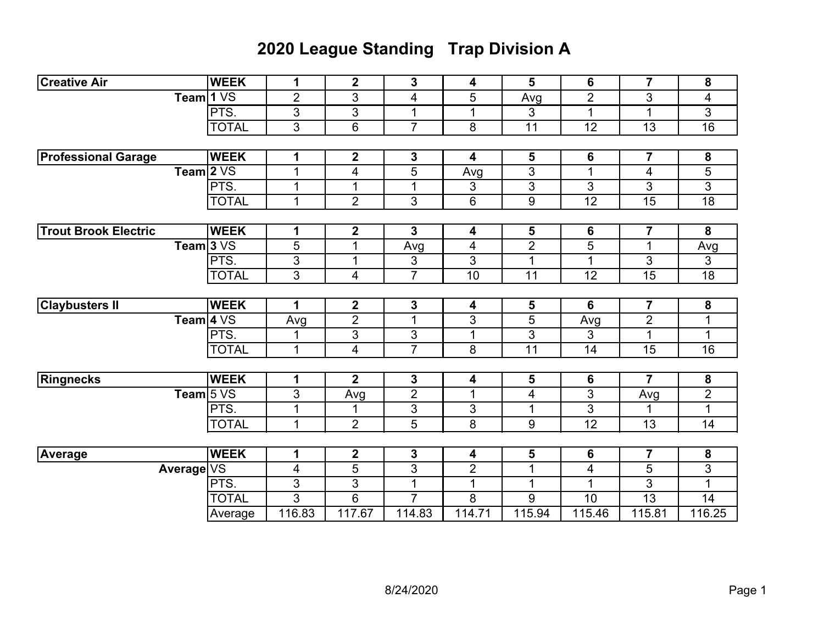## **2020 League Standing Trap Division A**

| <b>Creative Air</b>         | <b>WEEK</b>           | 1              | $\mathbf{2}$   | 3                       | 4              | 5               | 6               | $\overline{7}$          | 8                        |
|-----------------------------|-----------------------|----------------|----------------|-------------------------|----------------|-----------------|-----------------|-------------------------|--------------------------|
|                             | Team $1\,\mathrm{VS}$ | $\overline{2}$ | $\overline{3}$ | 4                       | 5              | Avg             | $\overline{2}$  | 3                       | $\overline{\mathcal{A}}$ |
|                             | PTS.                  | 3              | 3              | 1                       | 1              | 3               | $\mathbf{1}$    | 1                       | 3                        |
|                             | <b>TOTAL</b>          | 3              | 6              | $\overline{7}$          | 8              | 11              | 12              | 13                      | $\overline{16}$          |
|                             |                       |                |                |                         |                |                 |                 |                         |                          |
| <b>Professional Garage</b>  | <b>WEEK</b>           | 1              | $\mathbf 2$    | 3                       | 4              | 5               | 6               | $\overline{\mathbf{7}}$ | $\pmb{8}$                |
| Team $2VS$                  |                       | 1              | 4              | 5                       | Avg            | 3               | $\mathbf{1}$    | 4                       | 5                        |
|                             | PTS.                  | 1              | 1              | 1                       | 3              | 3               | 3               | 3                       | $\overline{3}$           |
|                             | <b>TOTAL</b>          | $\mathbf{1}$   | $\overline{2}$ | 3                       | $6\phantom{1}$ | 9               | 12              | 15                      | 18                       |
|                             |                       |                |                |                         |                |                 |                 |                         |                          |
| <b>Trout Brook Electric</b> | <b>WEEK</b>           | 1              | $\mathbf 2$    | 3                       | 4              | 5               | $6\phantom{1}6$ | $\overline{\mathbf{7}}$ | 8                        |
| Team $3VS$                  |                       | 5              | 1              | Avg                     | 4              | $\overline{2}$  | $\overline{5}$  | $\mathbf{1}$            | Avg                      |
|                             | PTS.                  | $\overline{3}$ | 1              | 3                       | $\overline{3}$ | 1               | $\mathbf{1}$    | $\overline{3}$          | $\overline{3}$           |
|                             | <b>TOTAL</b>          | $\overline{3}$ | 4              | $\overline{7}$          | 10             | $\overline{11}$ | $\overline{12}$ | $\overline{15}$         | 18                       |
|                             |                       |                |                |                         |                |                 |                 |                         |                          |
| <b>Claybusters II</b>       | <b>WEEK</b>           | 1              | $\mathbf 2$    | 3                       | 4              | 5               | 6               | $\overline{\mathbf{7}}$ | $\boldsymbol{8}$         |
| Team $4\sqrt{S}$            |                       | Avg            | $\overline{2}$ | 1                       | $\sqrt{3}$     | $\overline{5}$  | Avg             | $\overline{2}$          | 1                        |
|                             | PTS.                  | 1              | 3              | 3                       | 1              | 3               | 3               | 1                       | 1                        |
|                             | <b>TOTAL</b>          | $\mathbf{1}$   | $\overline{4}$ | $\overline{7}$          | 8              | 11              | 14              | 15                      | 16                       |
|                             |                       |                |                |                         |                |                 |                 |                         |                          |
| Ringnecks                   | <b>WEEK</b>           | 1              | $\mathbf{2}$   | $\mathbf 3$             | 4              | 5               | 6               | 7                       | ${\bf 8}$                |
| Team 5 VS                   |                       | 3              | Avg            | $\overline{2}$          | 1              | 4               | $\overline{3}$  | Avg                     | $\overline{2}$           |
|                             | PTS.                  | 1              | 1              | $\overline{\mathbf{3}}$ | $\sqrt{3}$     | $\mathbf{1}$    | $\overline{3}$  | $\mathbf{1}$            | $\mathbf 1$              |
|                             | <b>TOTAL</b>          | $\mathbf{1}$   | $\overline{2}$ | 5                       | 8              | $\overline{9}$  | $\overline{12}$ | $\overline{13}$         | $\overline{14}$          |
|                             |                       |                |                |                         |                |                 |                 |                         |                          |
| <b>Average</b>              | <b>WEEK</b>           | 1              | $\mathbf{2}$   | 3                       | 4              | 5               | 6               | $\overline{\mathbf{7}}$ | $\boldsymbol{8}$         |
| Average VS                  |                       | 4              | 5              | 3                       | $\overline{2}$ | 1               | 4               | 5                       | 3                        |
|                             | PTS.                  | $\mathfrak{B}$ | 3              | 1                       | 1              | $\mathbf{1}$    | $\mathbf 1$     | 3                       | $\mathbf 1$              |
|                             | <b>TOTAL</b>          | 3              | 6              | $\overline{7}$          | 8              | 9               | 10              | 13                      | 14                       |
|                             | Average               | 116.83         | 117.67         | 114.83                  | 114.71         | 115.94          | 115.46          | 115.81                  | 116.25                   |